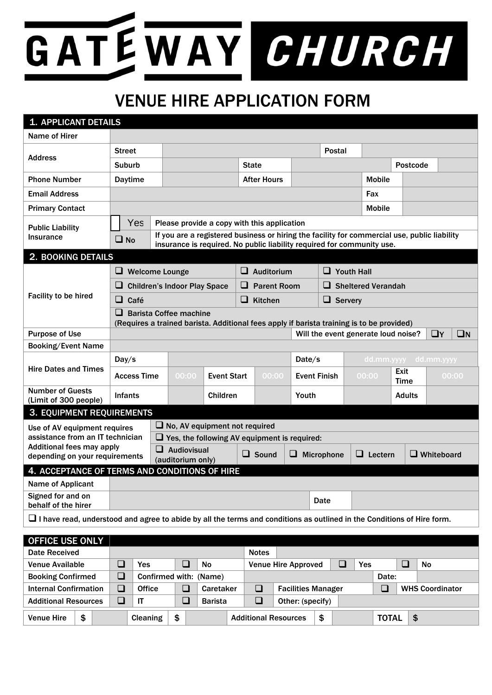## GATEWAY CHURCH

## VENUE HIRE APPLICATION FORM

| <b>1. APPLICANT DETAILS</b>                                                                                            |                                                                                                                                                                                        |                                                     |                                             |                    |                    |                    |                     |                           |                |                       |                   |       |  |  |
|------------------------------------------------------------------------------------------------------------------------|----------------------------------------------------------------------------------------------------------------------------------------------------------------------------------------|-----------------------------------------------------|---------------------------------------------|--------------------|--------------------|--------------------|---------------------|---------------------------|----------------|-----------------------|-------------------|-------|--|--|
| Name of Hirer                                                                                                          |                                                                                                                                                                                        |                                                     |                                             |                    |                    |                    |                     |                           |                |                       |                   |       |  |  |
|                                                                                                                        | <b>Street</b>                                                                                                                                                                          |                                                     |                                             |                    |                    |                    |                     | Postal                    |                |                       |                   |       |  |  |
| <b>Address</b>                                                                                                         | <b>Suburb</b>                                                                                                                                                                          |                                                     |                                             |                    |                    | <b>State</b>       |                     |                           |                |                       | <b>Postcode</b>   |       |  |  |
| <b>Phone Number</b>                                                                                                    | <b>Daytime</b>                                                                                                                                                                         |                                                     |                                             |                    |                    | <b>After Hours</b> |                     |                           | <b>Mobile</b>  |                       |                   |       |  |  |
| <b>Email Address</b>                                                                                                   |                                                                                                                                                                                        |                                                     |                                             |                    |                    |                    |                     |                           | Fax            |                       |                   |       |  |  |
| <b>Primary Contact</b>                                                                                                 |                                                                                                                                                                                        |                                                     |                                             |                    |                    |                    |                     |                           |                | <b>Mobile</b>         |                   |       |  |  |
| <b>Public Liability</b>                                                                                                | Yes                                                                                                                                                                                    |                                                     | Please provide a copy with this application |                    |                    |                    |                     |                           |                |                       |                   |       |  |  |
| <b>Insurance</b>                                                                                                       | If you are a registered business or hiring the facility for commercial use, public liability<br>$\square$ No<br>insurance is required. No public liability required for community use. |                                                     |                                             |                    |                    |                    |                     |                           |                |                       |                   |       |  |  |
| 2. BOOKING DETAILS                                                                                                     |                                                                                                                                                                                        |                                                     |                                             |                    |                    |                    |                     |                           |                |                       |                   |       |  |  |
|                                                                                                                        | $\Box$ Welcome Lounge                                                                                                                                                                  |                                                     |                                             |                    | $\Box$ Auditorium  |                    |                     | $\Box$ Youth Hall         |                |                       |                   |       |  |  |
|                                                                                                                        |                                                                                                                                                                                        |                                                     | <b>Children's Indoor Play Space</b>         | ⊔                  | <b>Parent Room</b> |                    |                     | $\Box$ Sheltered Verandah |                |                       |                   |       |  |  |
| Facility to be hired                                                                                                   | $\Box$ Café                                                                                                                                                                            |                                                     |                                             |                    |                    | $\Box$ Kitchen     |                     | $\Box$ Servery            |                |                       |                   |       |  |  |
|                                                                                                                        | $\Box$ Barista Coffee machine<br>(Requires a trained barista. Additional fees apply if barista training is to be provided)                                                             |                                                     |                                             |                    |                    |                    |                     |                           |                |                       |                   |       |  |  |
| <b>Purpose of Use</b>                                                                                                  | $\square$ N<br>$\Box$ Y<br>Will the event generate loud noise?                                                                                                                         |                                                     |                                             |                    |                    |                    |                     |                           |                |                       |                   |       |  |  |
| <b>Booking/Event Name</b>                                                                                              |                                                                                                                                                                                        |                                                     |                                             |                    |                    |                    |                     |                           |                |                       |                   |       |  |  |
|                                                                                                                        | Day/s                                                                                                                                                                                  |                                                     |                                             |                    |                    |                    | Date/s              |                           |                | dd.mm.yyyy dd.mm.yyyy |                   |       |  |  |
| <b>Hire Dates and Times</b>                                                                                            | <b>Access Time</b>                                                                                                                                                                     |                                                     | 00:00                                       | <b>Event Start</b> |                    | 00:00              | <b>Event Finish</b> |                           | 00:00          | Exit<br><b>Time</b>   |                   | 00:00 |  |  |
| <b>Number of Guests</b><br>(Limit of 300 people)                                                                       | <b>Infants</b>                                                                                                                                                                         |                                                     |                                             | Children           |                    |                    | Youth               |                           |                |                       | <b>Adults</b>     |       |  |  |
| <b>3. EQUIPMENT REQUIREMENTS</b>                                                                                       |                                                                                                                                                                                        |                                                     |                                             |                    |                    |                    |                     |                           |                |                       |                   |       |  |  |
| Use of AV equipment requires                                                                                           |                                                                                                                                                                                        | $\Box$ No, AV equipment not required                |                                             |                    |                    |                    |                     |                           |                |                       |                   |       |  |  |
| assistance from an IT technician                                                                                       |                                                                                                                                                                                        | $\Box$ Yes, the following AV equipment is required: |                                             |                    |                    |                    |                     |                           |                |                       |                   |       |  |  |
| <b>Additional fees may apply</b><br>depending on your requirements                                                     |                                                                                                                                                                                        |                                                     | $\Box$ Audiovisual<br>(auditorium only)     |                    |                    | $\Box$ Sound       |                     | $\Box$ Microphone         | $\Box$ Lectern |                       | $\Box$ Whiteboard |       |  |  |
| 4. ACCEPTANCE OF TERMS AND CONDITIONS OF HIRE                                                                          |                                                                                                                                                                                        |                                                     |                                             |                    |                    |                    |                     |                           |                |                       |                   |       |  |  |
| Name of Applicant                                                                                                      |                                                                                                                                                                                        |                                                     |                                             |                    |                    |                    |                     |                           |                |                       |                   |       |  |  |
| Signed for and on<br>behalf of the hirer                                                                               |                                                                                                                                                                                        |                                                     |                                             |                    |                    |                    | Date                |                           |                |                       |                   |       |  |  |
| I have read, understood and agree to abide by all the terms and conditions as outlined in the Conditions of Hire form. |                                                                                                                                                                                        |                                                     |                                             |                    |                    |                    |                     |                           |                |                       |                   |       |  |  |
|                                                                                                                        |                                                                                                                                                                                        |                                                     |                                             |                    |                    |                    |                     |                           |                |                       |                   |       |  |  |

| <b>OFFICE USE ONLY</b>       |    |        |                 |                          |                        |                                     |                             |    |  |  |                        |    |           |
|------------------------------|----|--------|-----------------|--------------------------|------------------------|-------------------------------------|-----------------------------|----|--|--|------------------------|----|-----------|
| Date Received                |    |        |                 |                          |                        | <b>Notes</b>                        |                             |    |  |  |                        |    |           |
| Venue Available              |    |        | Yes             |                          | <b>No</b>              | <b>Venue Hire Approved</b><br>Yes   |                             |    |  |  |                        |    | <b>No</b> |
| <b>Booking Confirmed</b>     |    | $\Box$ |                 |                          | Confirmed with: (Name) | Date:                               |                             |    |  |  |                        |    |           |
| <b>Internal Confirmation</b> |    | $\Box$ | <b>Office</b>   | $\overline{\phantom{a}}$ | Caretaker              | $\Box$<br><b>Facilities Manager</b> |                             |    |  |  | <b>WHS Coordinator</b> |    |           |
| <b>Additional Resources</b>  |    | ב      | IT              |                          | <b>Barista</b>         | $\Box$<br>Other: (specify)          |                             |    |  |  |                        |    |           |
| <b>Venue Hire</b>            | \$ |        | <b>Cleaning</b> | \$                       |                        |                                     | <b>Additional Resources</b> | \$ |  |  | <b>TOTAL</b>           | \$ |           |